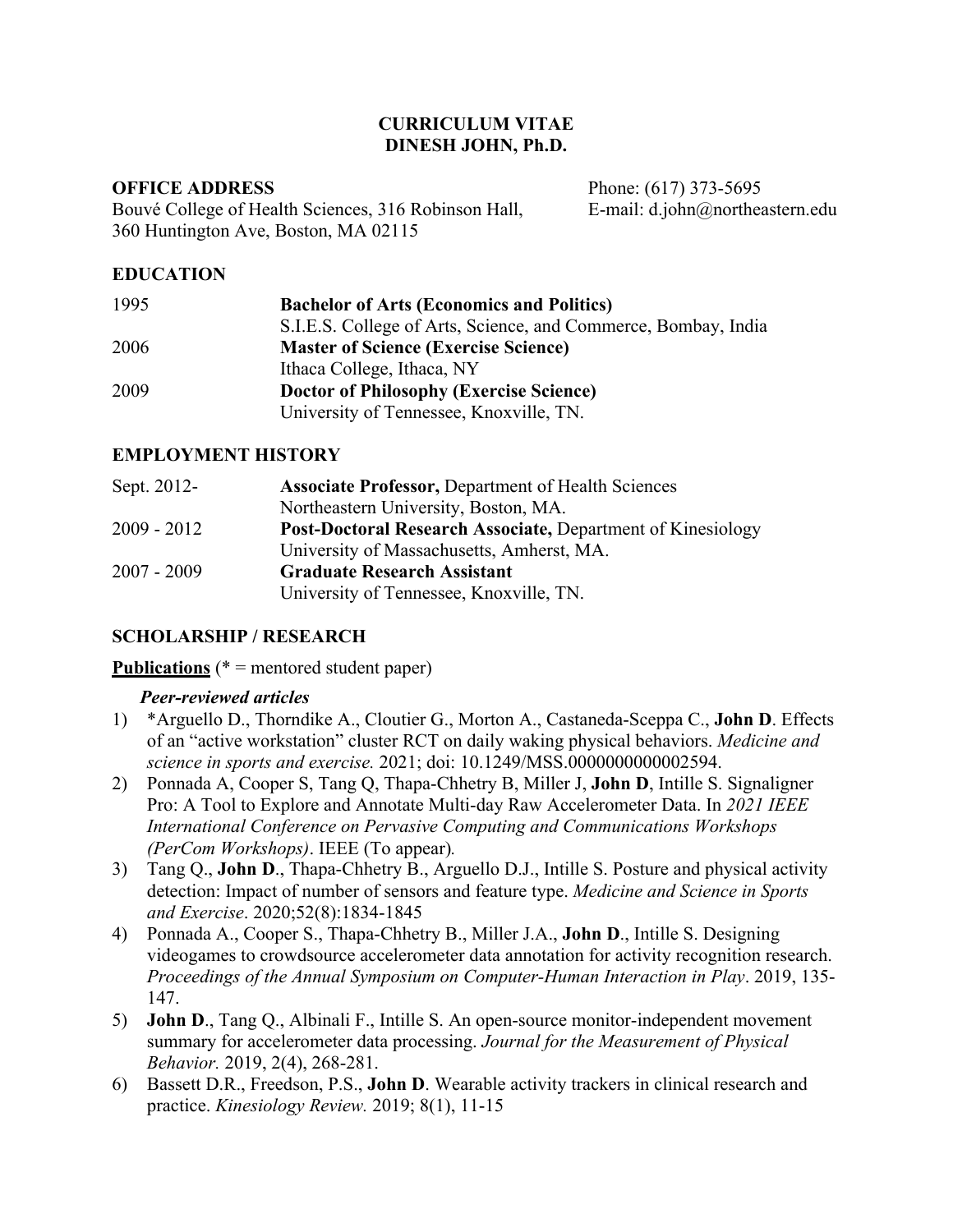#### **CURRICULUM VITAE DINESH JOHN, Ph.D.**

Bouvé College of Health Sciences, 316 Robinson Hall, E-mail: d.john@northeastern.edu 360 Huntington Ave, Boston, MA 02115

**OFFICE ADDRESS** Phone: (617) 373-5695

#### **EDUCATION**

| 1995 | <b>Bachelor of Arts (Economics and Politics)</b>               |
|------|----------------------------------------------------------------|
|      | S.I.E.S. College of Arts, Science, and Commerce, Bombay, India |
| 2006 | <b>Master of Science (Exercise Science)</b>                    |
|      | Ithaca College, Ithaca, NY                                     |
| 2009 | <b>Doctor of Philosophy (Exercise Science)</b>                 |
|      | University of Tennessee, Knoxville, TN.                        |

#### **EMPLOYMENT HISTORY**

| Sept. 2012-   | <b>Associate Professor, Department of Health Sciences</b>          |
|---------------|--------------------------------------------------------------------|
|               | Northeastern University, Boston, MA.                               |
| 2009 - 2012   | <b>Post-Doctoral Research Associate, Department of Kinesiology</b> |
|               | University of Massachusetts, Amherst, MA.                          |
| $2007 - 2009$ | <b>Graduate Research Assistant</b>                                 |
|               | University of Tennessee, Knoxville, TN.                            |

#### **SCHOLARSHIP / RESEARCH**

**Publications** (\* = mentored student paper)

#### *Peer-reviewed articles*

- 1) \*Arguello D., Thorndike A., Cloutier G., Morton A., Castaneda-Sceppa C., **John D**. Effects of an "active workstation" cluster RCT on daily waking physical behaviors. *Medicine and science in sports and exercise.* 2021; doi: 10.1249/MSS.0000000000002594.
- 2) Ponnada A, Cooper S, Tang Q, Thapa-Chhetry B, Miller J, **John D**, Intille S. Signaligner Pro: A Tool to Explore and Annotate Multi-day Raw Accelerometer Data. In *2021 IEEE International Conference on Pervasive Computing and Communications Workshops (PerCom Workshops)*. IEEE (To appear)*.*
- 3) Tang Q., **John D**., Thapa-Chhetry B., Arguello D.J., Intille S. Posture and physical activity detection: Impact of number of sensors and feature type. *Medicine and Science in Sports and Exercise*. 2020;52(8):1834-1845
- 4) Ponnada A., Cooper S., Thapa-Chhetry B., Miller J.A., **John D**., Intille S. Designing videogames to crowdsource accelerometer data annotation for activity recognition research. *Proceedings of the Annual Symposium on Computer-Human Interaction in Play*. 2019, 135- 147.
- 5) **John D**., Tang Q., Albinali F., Intille S. An open-source monitor-independent movement summary for accelerometer data processing. *Journal for the Measurement of Physical Behavior.* 2019, 2(4), 268-281.
- 6) Bassett D.R., Freedson, P.S., **John D**. Wearable activity trackers in clinical research and practice. *Kinesiology Review.* 2019; 8(1), 11-15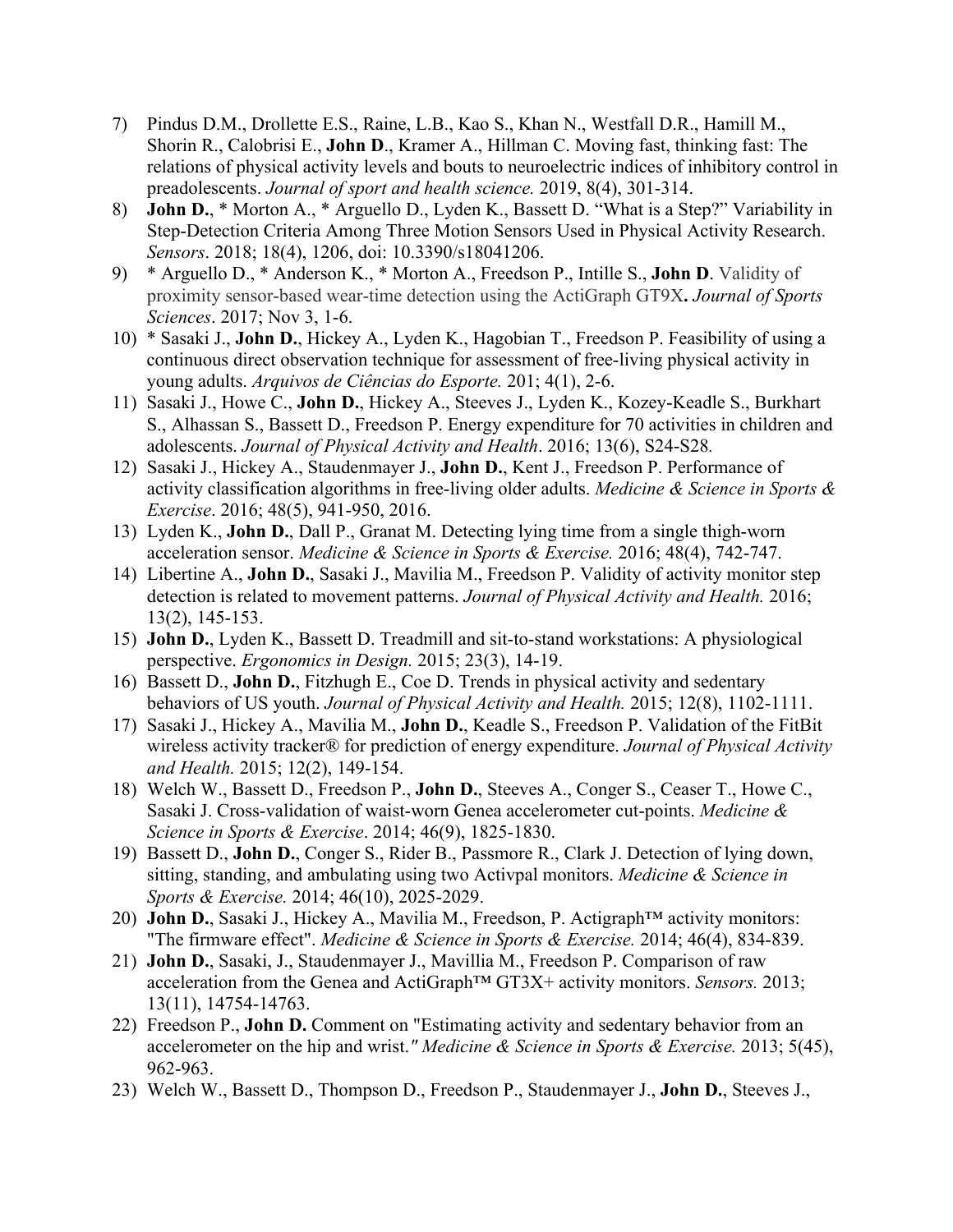- 7) Pindus D.M., Drollette E.S., Raine, L.B., Kao S., Khan N., Westfall D.R., Hamill M., Shorin R., Calobrisi E., **John D**., Kramer A., Hillman C. Moving fast, thinking fast: The relations of physical activity levels and bouts to neuroelectric indices of inhibitory control in preadolescents. *Journal of sport and health science.* 2019, 8(4), 301-314.
- 8) **John D.**, \* Morton A., \* Arguello D., Lyden K., Bassett D. "What is a Step?" Variability in Step-Detection Criteria Among Three Motion Sensors Used in Physical Activity Research. *Sensors*. 2018; 18(4), 1206, doi: 10.3390/s18041206.
- 9) \* Arguello D., \* Anderson K., \* Morton A., Freedson P., Intille S., **John D**. Validity of proximity sensor-based wear-time detection using the ActiGraph GT9X**.** *Journal of Sports Sciences*. 2017; Nov 3, 1-6.
- 10) \* Sasaki J., **John D.**, Hickey A., Lyden K., Hagobian T., Freedson P. Feasibility of using a continuous direct observation technique for assessment of free-living physical activity in young adults. *Arquivos de Ciências do Esporte.* 201; 4(1), 2-6.
- 11) Sasaki J., Howe C., **John D.**, Hickey A., Steeves J., Lyden K., Kozey-Keadle S., Burkhart S., Alhassan S., Bassett D., Freedson P. Energy expenditure for 70 activities in children and adolescents. *Journal of Physical Activity and Health*. 2016; 13(6), S24-S28*.*
- 12) Sasaki J., Hickey A., Staudenmayer J., **John D.**, Kent J., Freedson P. Performance of activity classification algorithms in free-living older adults. *Medicine & Science in Sports & Exercise*. 2016; 48(5), 941-950, 2016.
- 13) Lyden K., **John D.**, Dall P., Granat M. Detecting lying time from a single thigh-worn acceleration sensor. *Medicine & Science in Sports & Exercise.* 2016; 48(4), 742-747.
- 14) Libertine A., **John D.**, Sasaki J., Mavilia M., Freedson P. Validity of activity monitor step detection is related to movement patterns. *Journal of Physical Activity and Health.* 2016; 13(2), 145-153.
- 15) **John D.**, Lyden K., Bassett D. Treadmill and sit-to-stand workstations: A physiological perspective. *Ergonomics in Design.* 2015; 23(3), 14-19.
- 16) Bassett D., **John D.**, Fitzhugh E., Coe D. Trends in physical activity and sedentary behaviors of US youth. *Journal of Physical Activity and Health.* 2015; 12(8), 1102-1111.
- 17) Sasaki J., Hickey A., Mavilia M., **John D.**, Keadle S., Freedson P. Validation of the FitBit wireless activity tracker® for prediction of energy expenditure. *Journal of Physical Activity and Health.* 2015; 12(2), 149-154.
- 18) Welch W., Bassett D., Freedson P., **John D.**, Steeves A., Conger S., Ceaser T., Howe C., Sasaki J. Cross-validation of waist-worn Genea accelerometer cut-points. *Medicine & Science in Sports & Exercise*. 2014; 46(9), 1825-1830.
- 19) Bassett D., **John D.**, Conger S., Rider B., Passmore R., Clark J. Detection of lying down, sitting, standing, and ambulating using two Activpal monitors. *Medicine & Science in Sports & Exercise.* 2014; 46(10), 2025-2029.
- 20) **John D.**, Sasaki J., Hickey A., Mavilia M., Freedson, P. Actigraph™ activity monitors: "The firmware effect". *Medicine & Science in Sports & Exercise.* 2014; 46(4), 834-839.
- 21) **John D.**, Sasaki, J., Staudenmayer J., Mavillia M., Freedson P. Comparison of raw acceleration from the Genea and ActiGraph™ GT3X+ activity monitors. *Sensors.* 2013; 13(11), 14754-14763.
- 22) Freedson P., **John D.** Comment on "Estimating activity and sedentary behavior from an accelerometer on the hip and wrist.*" Medicine & Science in Sports & Exercise.* 2013; 5(45), 962-963.
- 23) Welch W., Bassett D., Thompson D., Freedson P., Staudenmayer J., **John D.**, Steeves J.,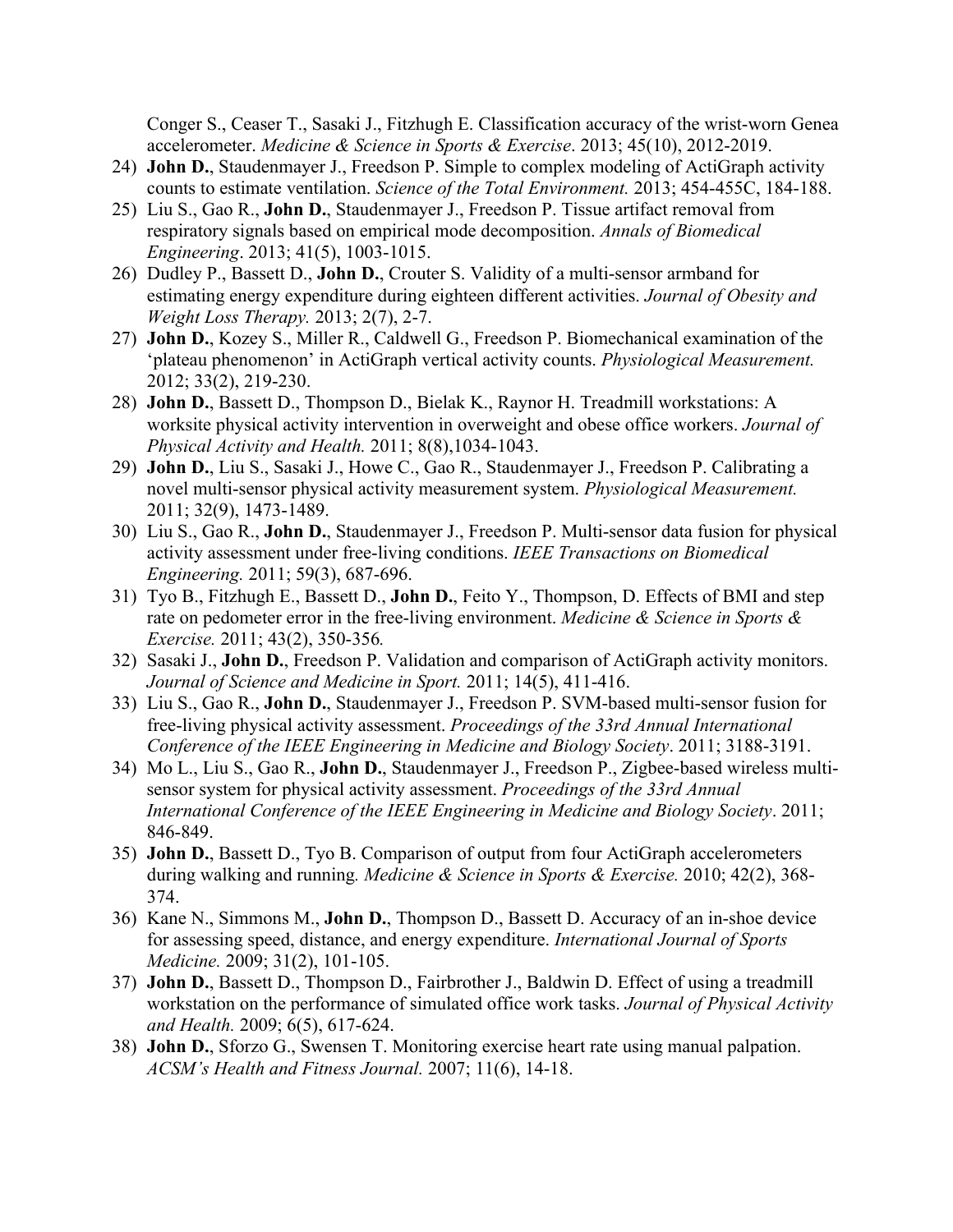Conger S., Ceaser T., Sasaki J., Fitzhugh E. Classification accuracy of the wrist-worn Genea accelerometer. *Medicine & Science in Sports & Exercise*. 2013; 45(10), 2012-2019.

- 24) **John D.**, Staudenmayer J., Freedson P. Simple to complex modeling of ActiGraph activity counts to estimate ventilation. *Science of the Total Environment.* 2013; 454-455C, 184-188.
- 25) Liu S., Gao R., **John D.**, Staudenmayer J., Freedson P. Tissue artifact removal from respiratory signals based on empirical mode decomposition. *Annals of Biomedical Engineering*. 2013; 41(5), 1003-1015.
- 26) Dudley P., Bassett D., **John D.**, Crouter S. Validity of a multi-sensor armband for estimating energy expenditure during eighteen different activities. *Journal of Obesity and Weight Loss Therapy.* 2013; 2(7), 2-7.
- 27) **John D.**, Kozey S., Miller R., Caldwell G., Freedson P. Biomechanical examination of the 'plateau phenomenon' in ActiGraph vertical activity counts. *Physiological Measurement.* 2012; 33(2), 219-230.
- 28) **John D.**, Bassett D., Thompson D., Bielak K., Raynor H. Treadmill workstations: A worksite physical activity intervention in overweight and obese office workers. *Journal of Physical Activity and Health.* 2011; 8(8),1034-1043.
- 29) **John D.**, Liu S., Sasaki J., Howe C., Gao R., Staudenmayer J., Freedson P. Calibrating a novel multi-sensor physical activity measurement system. *Physiological Measurement.* 2011; 32(9), 1473-1489.
- 30) Liu S., Gao R., **John D.**, Staudenmayer J., Freedson P. Multi-sensor data fusion for physical activity assessment under free-living conditions. *IEEE Transactions on Biomedical Engineering.* 2011; 59(3), 687-696.
- 31) Tyo B., Fitzhugh E., Bassett D., **John D.**, Feito Y., Thompson, D. Effects of BMI and step rate on pedometer error in the free-living environment. *Medicine & Science in Sports & Exercise.* 2011; 43(2), 350-356*.*
- 32) Sasaki J., **John D.**, Freedson P. Validation and comparison of ActiGraph activity monitors. *Journal of Science and Medicine in Sport.* 2011; 14(5), 411-416.
- 33) Liu S., Gao R., **John D.**, Staudenmayer J., Freedson P. SVM-based multi-sensor fusion for free-living physical activity assessment. *Proceedings of the 33rd Annual International Conference of the IEEE Engineering in Medicine and Biology Society*. 2011; 3188-3191.
- 34) Mo L., Liu S., Gao R., **John D.**, Staudenmayer J., Freedson P., Zigbee-based wireless multisensor system for physical activity assessment. *Proceedings of the 33rd Annual International Conference of the IEEE Engineering in Medicine and Biology Society*. 2011; 846-849.
- 35) **John D.**, Bassett D., Tyo B. Comparison of output from four ActiGraph accelerometers during walking and running*. Medicine & Science in Sports & Exercise.* 2010; 42(2), 368- 374.
- 36) Kane N., Simmons M., **John D.**, Thompson D., Bassett D. Accuracy of an in-shoe device for assessing speed, distance, and energy expenditure. *International Journal of Sports Medicine.* 2009; 31(2), 101-105.
- 37) **John D.**, Bassett D., Thompson D., Fairbrother J., Baldwin D. Effect of using a treadmill workstation on the performance of simulated office work tasks. *Journal of Physical Activity and Health.* 2009; 6(5), 617-624.
- 38) **John D.**, Sforzo G., Swensen T. Monitoring exercise heart rate using manual palpation. *ACSM's Health and Fitness Journal.* 2007; 11(6), 14-18.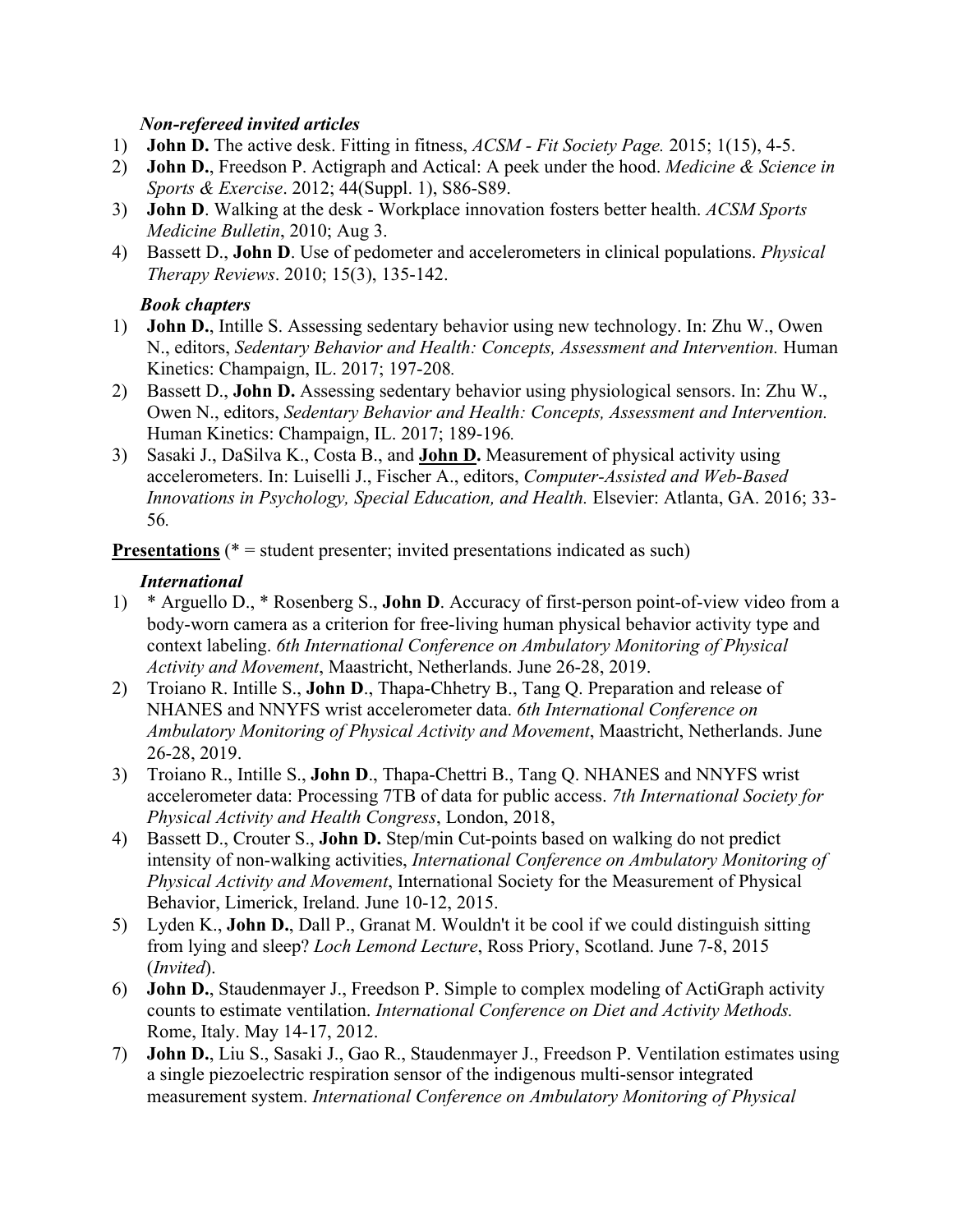#### *Non-refereed invited articles*

- 1) **John D.** The active desk. Fitting in fitness, *ACSM - Fit Society Page.* 2015; 1(15), 4-5.
- 2) **John D.**, Freedson P. Actigraph and Actical: A peek under the hood. *Medicine & Science in Sports & Exercise*. 2012; 44(Suppl. 1), S86-S89.
- 3) **John D**. Walking at the desk Workplace innovation fosters better health. *ACSM Sports Medicine Bulletin*, 2010; Aug 3.
- 4) Bassett D., **John D**. Use of pedometer and accelerometers in clinical populations. *Physical Therapy Reviews*. 2010; 15(3), 135-142.

### *Book chapters*

- 1) **John D.**, Intille S. Assessing sedentary behavior using new technology. In: Zhu W., Owen N., editors, *Sedentary Behavior and Health: Concepts, Assessment and Intervention.* Human Kinetics: Champaign, IL. 2017; 197-208*.*
- 2) Bassett D., **John D.** Assessing sedentary behavior using physiological sensors. In: Zhu W., Owen N., editors, *Sedentary Behavior and Health: Concepts, Assessment and Intervention.* Human Kinetics: Champaign, IL. 2017; 189-196*.*
- 3) Sasaki J., DaSilva K., Costa B., and **John D.** Measurement of physical activity using accelerometers. In: Luiselli J., Fischer A., editors, *Computer-Assisted and Web-Based Innovations in Psychology, Special Education, and Health.* Elsevier: Atlanta, GA. 2016; 33- 56*.*

**Presentations** (\* = student presenter; invited presentations indicated as such)

## *International*

- 1) \* Arguello D., \* Rosenberg S., **John D**. Accuracy of first-person point-of-view video from a body-worn camera as a criterion for free-living human physical behavior activity type and context labeling. *6th International Conference on Ambulatory Monitoring of Physical Activity and Movement*, Maastricht, Netherlands. June 26-28, 2019.
- 2) Troiano R. Intille S., **John D**., Thapa-Chhetry B., Tang Q. Preparation and release of NHANES and NNYFS wrist accelerometer data. *6th International Conference on Ambulatory Monitoring of Physical Activity and Movement*, Maastricht, Netherlands. June 26-28, 2019.
- 3) Troiano R., Intille S., **John D**., Thapa-Chettri B., Tang Q. NHANES and NNYFS wrist accelerometer data: Processing 7TB of data for public access. *7th International Society for Physical Activity and Health Congress*, London, 2018,
- 4) Bassett D., Crouter S., **John D.** Step/min Cut-points based on walking do not predict intensity of non-walking activities, *International Conference on Ambulatory Monitoring of Physical Activity and Movement*, International Society for the Measurement of Physical Behavior, Limerick, Ireland. June 10-12, 2015.
- 5) Lyden K., **John D.**, Dall P., Granat M. Wouldn't it be cool if we could distinguish sitting from lying and sleep? *Loch Lemond Lecture*, Ross Priory, Scotland. June 7-8, 2015 (*Invited*).
- 6) **John D.**, Staudenmayer J., Freedson P. Simple to complex modeling of ActiGraph activity counts to estimate ventilation. *International Conference on Diet and Activity Methods.*  Rome, Italy. May 14-17, 2012.
- 7) **John D.**, Liu S., Sasaki J., Gao R., Staudenmayer J., Freedson P. Ventilation estimates using a single piezoelectric respiration sensor of the indigenous multi-sensor integrated measurement system. *International Conference on Ambulatory Monitoring of Physical*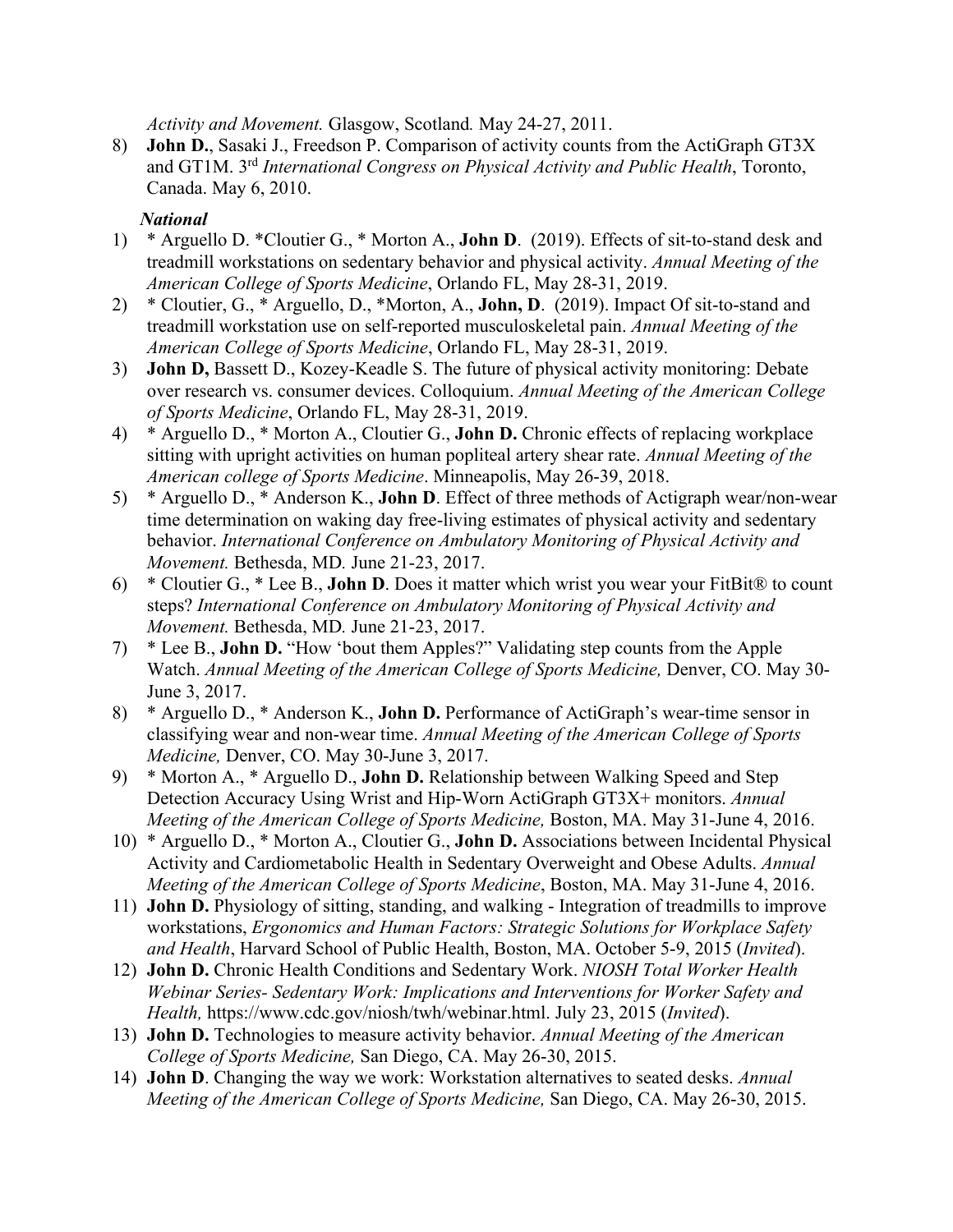*Activity and Movement.* Glasgow, Scotland*.* May 24-27, 2011.

8) **John D.**, Sasaki J., Freedson P. Comparison of activity counts from the ActiGraph GT3X and GT1M. 3rd *International Congress on Physical Activity and Public Health*, Toronto, Canada. May 6, 2010.

#### *National*

- 1) \* Arguello D. \*Cloutier G., \* Morton A., **John D**. (2019). Effects of sit-to-stand desk and treadmill workstations on sedentary behavior and physical activity. *Annual Meeting of the American College of Sports Medicine*, Orlando FL, May 28-31, 2019.
- 2) \* Cloutier, G., \* Arguello, D., \*Morton, A., **John, D**. (2019). Impact Of sit-to-stand and treadmill workstation use on self-reported musculoskeletal pain. *Annual Meeting of the American College of Sports Medicine*, Orlando FL, May 28-31, 2019.
- 3) **John D,** Bassett D., Kozey-Keadle S. The future of physical activity monitoring: Debate over research vs. consumer devices. Colloquium. *Annual Meeting of the American College of Sports Medicine*, Orlando FL, May 28-31, 2019.
- 4) \* Arguello D., \* Morton A., Cloutier G., **John D.** Chronic effects of replacing workplace sitting with upright activities on human popliteal artery shear rate. *Annual Meeting of the American college of Sports Medicine*. Minneapolis, May 26-39, 2018.
- 5) \* Arguello D., \* Anderson K., **John D**. Effect of three methods of Actigraph wear/non-wear time determination on waking day free-living estimates of physical activity and sedentary behavior. *International Conference on Ambulatory Monitoring of Physical Activity and Movement.* Bethesda, MD*.* June 21-23, 2017.
- 6) \* Cloutier G., \* Lee B., **John D**. Does it matter which wrist you wear your FitBit® to count steps? *International Conference on Ambulatory Monitoring of Physical Activity and Movement.* Bethesda, MD*.* June 21-23, 2017.
- 7) \* Lee B., **John D.** "How 'bout them Apples?" Validating step counts from the Apple Watch. *Annual Meeting of the American College of Sports Medicine,* Denver, CO. May 30- June 3, 2017.
- 8) \* Arguello D., \* Anderson K., **John D.** Performance of ActiGraph's wear-time sensor in classifying wear and non-wear time. *Annual Meeting of the American College of Sports Medicine,* Denver, CO. May 30-June 3, 2017.
- 9) \* Morton A., \* Arguello D., **John D.** Relationship between Walking Speed and Step Detection Accuracy Using Wrist and Hip-Worn ActiGraph GT3X+ monitors. *Annual Meeting of the American College of Sports Medicine,* Boston, MA. May 31-June 4, 2016.
- 10) \* Arguello D., \* Morton A., Cloutier G., **John D.** Associations between Incidental Physical Activity and Cardiometabolic Health in Sedentary Overweight and Obese Adults. *Annual Meeting of the American College of Sports Medicine*, Boston, MA. May 31-June 4, 2016.
- 11) **John D.** Physiology of sitting, standing, and walking Integration of treadmills to improve workstations, *Ergonomics and Human Factors: Strategic Solutions for Workplace Safety and Health*, Harvard School of Public Health, Boston, MA. October 5-9, 2015 (*Invited*).
- 12) **John D.** Chronic Health Conditions and Sedentary Work. *NIOSH Total Worker Health Webinar Series- Sedentary Work: Implications and Interventions for Worker Safety and Health,* https://www.cdc.gov/niosh/twh/webinar.html. July 23, 2015 (*Invited*).
- 13) **John D.** Technologies to measure activity behavior. *Annual Meeting of the American College of Sports Medicine,* San Diego, CA. May 26-30, 2015.
- 14) **John D**. Changing the way we work: Workstation alternatives to seated desks. *Annual Meeting of the American College of Sports Medicine,* San Diego, CA. May 26-30, 2015.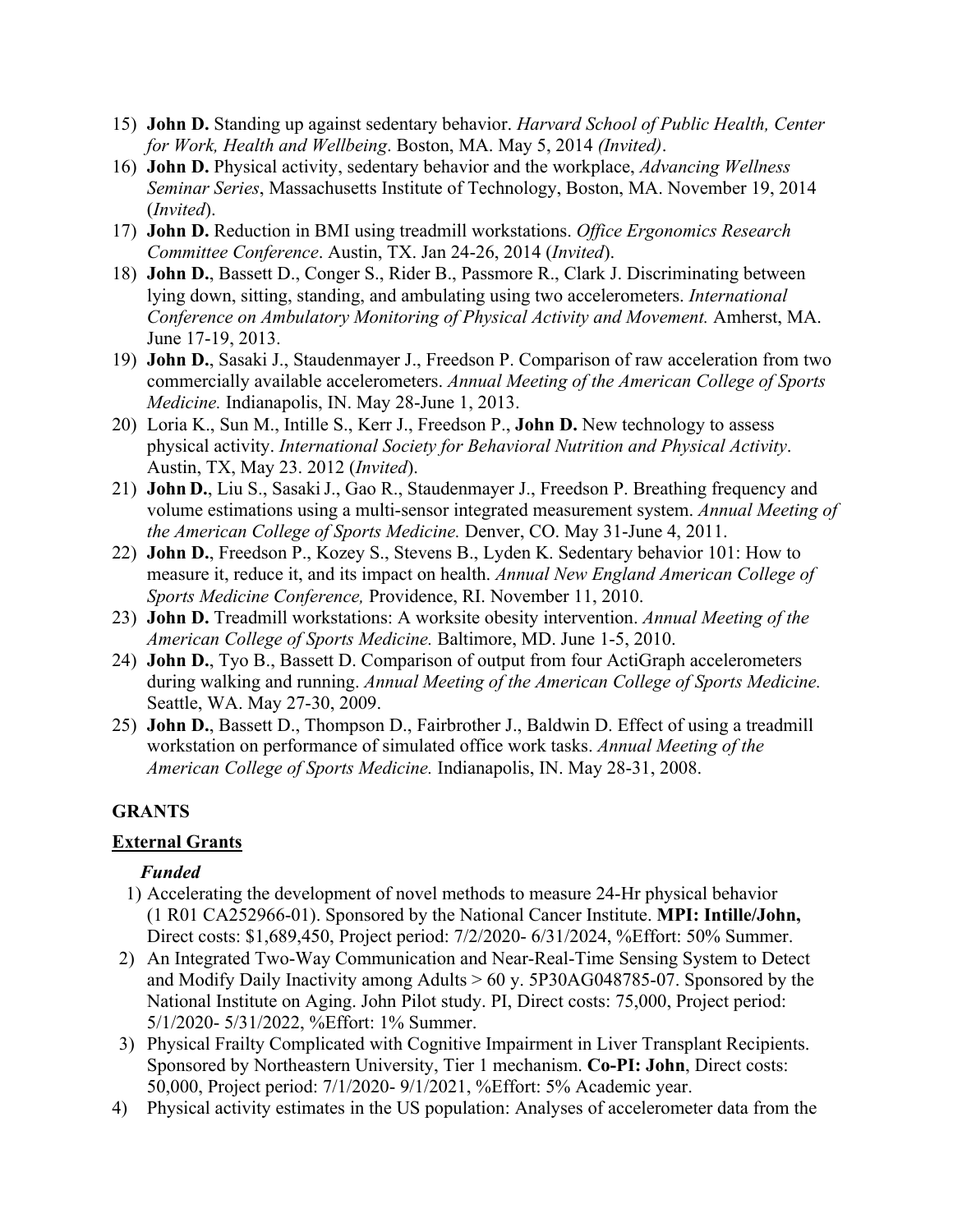- 15) **John D.** Standing up against sedentary behavior. *Harvard School of Public Health, Center for Work, Health and Wellbeing*. Boston, MA. May 5, 2014 *(Invited)*.
- 16) **John D.** Physical activity, sedentary behavior and the workplace, *Advancing Wellness Seminar Series*, Massachusetts Institute of Technology, Boston, MA. November 19, 2014 (*Invited*).
- 17) **John D.** Reduction in BMI using treadmill workstations. *Office Ergonomics Research Committee Conference*. Austin, TX. Jan 24-26, 2014 (*Invited*).
- 18) **John D.**, Bassett D., Conger S., Rider B., Passmore R., Clark J. Discriminating between lying down, sitting, standing, and ambulating using two accelerometers. *International Conference on Ambulatory Monitoring of Physical Activity and Movement.* Amherst, MA. June 17-19, 2013.
- 19) **John D.**, Sasaki J., Staudenmayer J., Freedson P. Comparison of raw acceleration from two commercially available accelerometers. *Annual Meeting of the American College of Sports Medicine.* Indianapolis, IN. May 28-June 1, 2013.
- 20) Loria K., Sun M., Intille S., Kerr J., Freedson P., **John D.** New technology to assess physical activity. *International Society for Behavioral Nutrition and Physical Activity*. Austin, TX, May 23. 2012 (*Invited*).
- 21) **John D.**, Liu S., SasakiJ., Gao R., Staudenmayer J., Freedson P. Breathing frequency and volume estimations using a multi-sensor integrated measurement system. *Annual Meeting of the American College of Sports Medicine.* Denver, CO. May 31-June 4, 2011.
- 22) **John D.**, Freedson P., Kozey S., Stevens B., Lyden K. Sedentary behavior 101: How to measure it, reduce it, and its impact on health. *Annual New England American College of Sports Medicine Conference,* Providence, RI. November 11, 2010.
- 23) **John D.** Treadmill workstations: A worksite obesity intervention. *Annual Meeting of the American College of Sports Medicine.* Baltimore, MD. June 1-5, 2010.
- 24) **John D.**, Tyo B., Bassett D. Comparison of output from four ActiGraph accelerometers during walking and running. *Annual Meeting of the American College of Sports Medicine.*  Seattle, WA. May 27-30, 2009.
- 25) **John D.**, Bassett D., Thompson D., Fairbrother J., Baldwin D. Effect of using a treadmill workstation on performance of simulated office work tasks. *Annual Meeting of the American College of Sports Medicine.* Indianapolis, IN. May 28-31, 2008.

# **GRANTS**

#### **External Grants**

#### *Funded*

- 1) Accelerating the development of novel methods to measure 24-Hr physical behavior (1 R01 CA252966-01). Sponsored by the National Cancer Institute. **MPI: Intille/John,**  Direct costs: \$1,689,450, Project period: 7/2/2020- 6/31/2024, %Effort: 50% Summer.
- 2) An Integrated Two-Way Communication and Near-Real-Time Sensing System to Detect and Modify Daily Inactivity among Adults  $> 60$  y. 5P30AG048785-07. Sponsored by the National Institute on Aging. John Pilot study. PI, Direct costs: 75,000, Project period: 5/1/2020- 5/31/2022, %Effort: 1% Summer.
- 3) Physical Frailty Complicated with Cognitive Impairment in Liver Transplant Recipients. Sponsored by Northeastern University, Tier 1 mechanism. **Co-PI: John**, Direct costs: 50,000, Project period: 7/1/2020- 9/1/2021, %Effort: 5% Academic year.
- 4) Physical activity estimates in the US population: Analyses of accelerometer data from the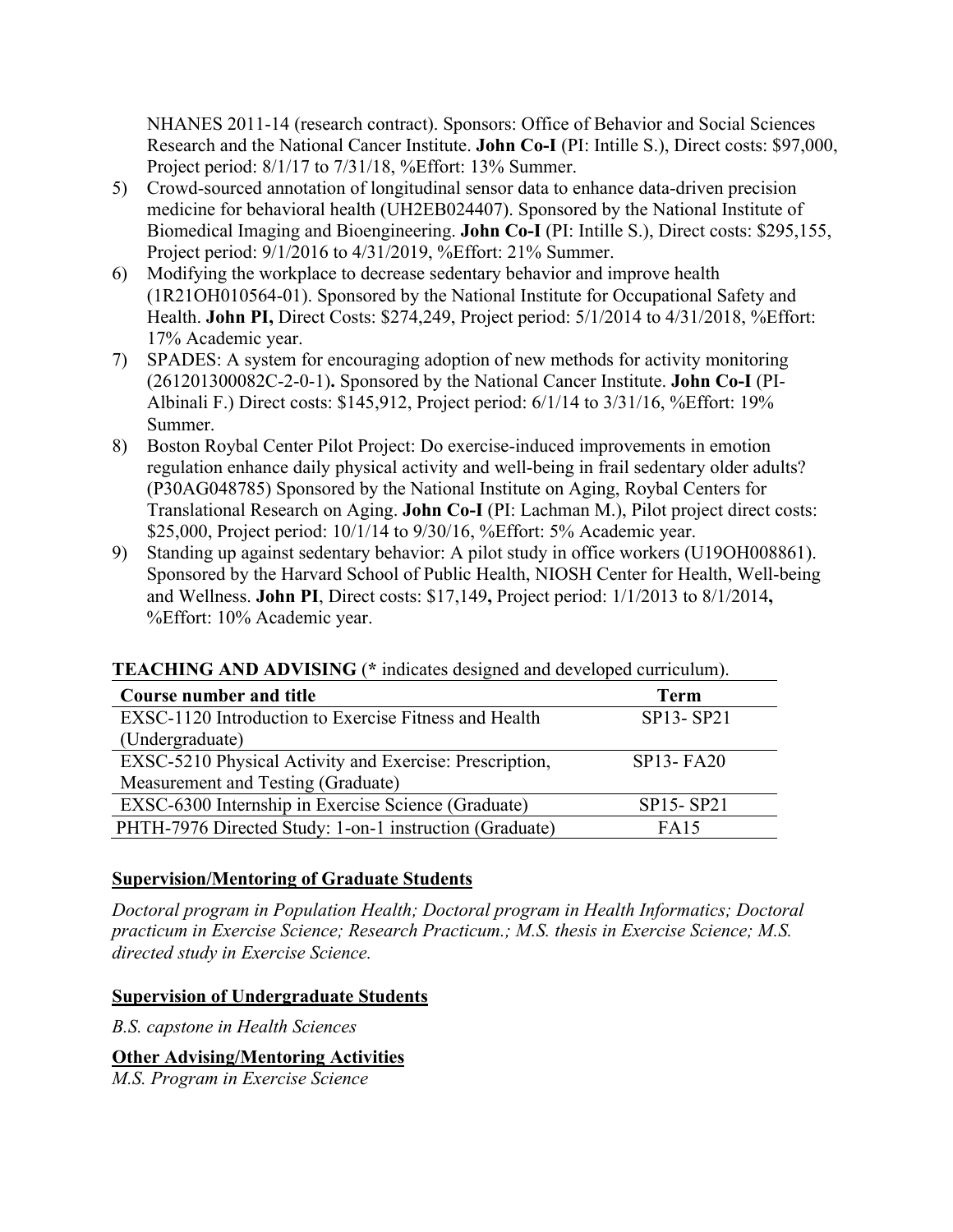NHANES 2011-14 (research contract). Sponsors: Office of Behavior and Social Sciences Research and the National Cancer Institute. **John Co-I** (PI: Intille S.), Direct costs: \$97,000, Project period: 8/1/17 to 7/31/18, %Effort: 13% Summer.

- 5) Crowd-sourced annotation of longitudinal sensor data to enhance data-driven precision medicine for behavioral health (UH2EB024407). Sponsored by the National Institute of Biomedical Imaging and Bioengineering. **John Co-I** (PI: Intille S.), Direct costs: \$295,155, Project period: 9/1/2016 to 4/31/2019, %Effort: 21% Summer.
- 6) Modifying the workplace to decrease sedentary behavior and improve health (1R21OH010564-01). Sponsored by the National Institute for Occupational Safety and Health. **John PI,** Direct Costs: \$274,249, Project period: 5/1/2014 to 4/31/2018, %Effort: 17% Academic year.
- 7) SPADES: A system for encouraging adoption of new methods for activity monitoring (261201300082C-2-0-1)**.** Sponsored by the National Cancer Institute. **John Co-I** (PI-Albinali F.) Direct costs: \$145,912, Project period: 6/1/14 to 3/31/16, %Effort: 19% Summer.
- 8) Boston Roybal Center Pilot Project: Do exercise-induced improvements in emotion regulation enhance daily physical activity and well-being in frail sedentary older adults? (P30AG048785) Sponsored by the National Institute on Aging, Roybal Centers for Translational Research on Aging. **John Co-I** (PI: Lachman M.), Pilot project direct costs: \$25,000, Project period: 10/1/14 to 9/30/16, %Effort: 5% Academic year.
- 9) Standing up against sedentary behavior: A pilot study in office workers (U19OH008861). Sponsored by the Harvard School of Public Health, NIOSH Center for Health, Well-being and Wellness. **John PI**, Direct costs: \$17,149**,** Project period: 1/1/2013 to 8/1/2014**,**  %Effort: 10% Academic year.

#### **TEACHING AND ADVISING** (**\*** indicates designed and developed curriculum).

| Course number and title                                 | Term          |  |
|---------------------------------------------------------|---------------|--|
| EXSC-1120 Introduction to Exercise Fitness and Health   | SP13-SP21     |  |
| (Undergraduate)                                         |               |  |
| EXSC-5210 Physical Activity and Exercise: Prescription, | $SP13 - FA20$ |  |
| Measurement and Testing (Graduate)                      |               |  |
| EXSC-6300 Internship in Exercise Science (Graduate)     | $SP15-SP21$   |  |
| PHTH-7976 Directed Study: 1-on-1 instruction (Graduate) | FA15          |  |

#### **Supervision/Mentoring of Graduate Students**

*Doctoral program in Population Health; Doctoral program in Health Informatics; Doctoral practicum in Exercise Science; Research Practicum.; M.S. thesis in Exercise Science; M.S. directed study in Exercise Science.*

#### **Supervision of Undergraduate Students**

*B.S. capstone in Health Sciences*

#### **Other Advising/Mentoring Activities**

*M.S. Program in Exercise Science*